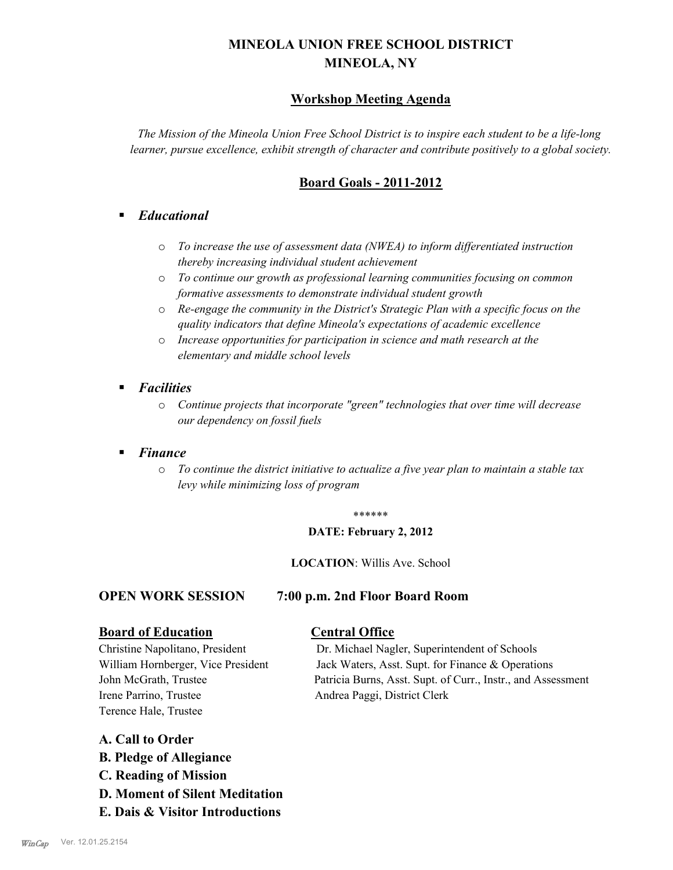# **MINEOLA UNION FREE SCHOOL DISTRICT MINEOLA, NY**

## **Workshop Meeting Agenda**

*The Mission of the Mineola Union Free School District is to inspire each student to be a life-long learner, pursue excellence, exhibit strength of character and contribute positively to a global society.*

## **Board Goals - 2011-2012**

## § *Educational*

- o *To increase the use of assessment data (NWEA) to inform differentiated instruction thereby increasing individual student achievement*
- o *To continue our growth as professional learning communities focusing on common formative assessments to demonstrate individual student growth*
- o *Re-engage the community in the District's Strategic Plan with a specific focus on the quality indicators that define Mineola's expectations of academic excellence*
- o *Increase opportunities for participation in science and math research at the elementary and middle school levels*
- *Facilities* 
	- o *Continue projects that incorporate "green" technologies that over time will decrease our dependency on fossil fuels*

### § *Finance*

o *To continue the district initiative to actualize a five year plan to maintain a stable tax levy while minimizing loss of program*

#### \*\*\*\*\*\*

#### **DATE: February 2, 2012**

#### **LOCATION**: Willis Ave. School

#### **OPEN WORK SESSION 7:00 p.m. 2nd Floor Board Room**

#### **Board of Education Central Office**

Irene Parrino, Trustee Andrea Paggi, District Clerk Terence Hale, Trustee

Christine Napolitano, President Dr. Michael Nagler, Superintendent of Schools William Hornberger, Vice President Jack Waters, Asst. Supt. for Finance & Operations John McGrath, Trustee Patricia Burns, Asst. Supt. of Curr., Instr., and Assessment

## **A. Call to Order**

- **B. Pledge of Allegiance**
- **C. Reading of Mission**
- **D. Moment of Silent Meditation**
- **E. Dais & Visitor Introductions**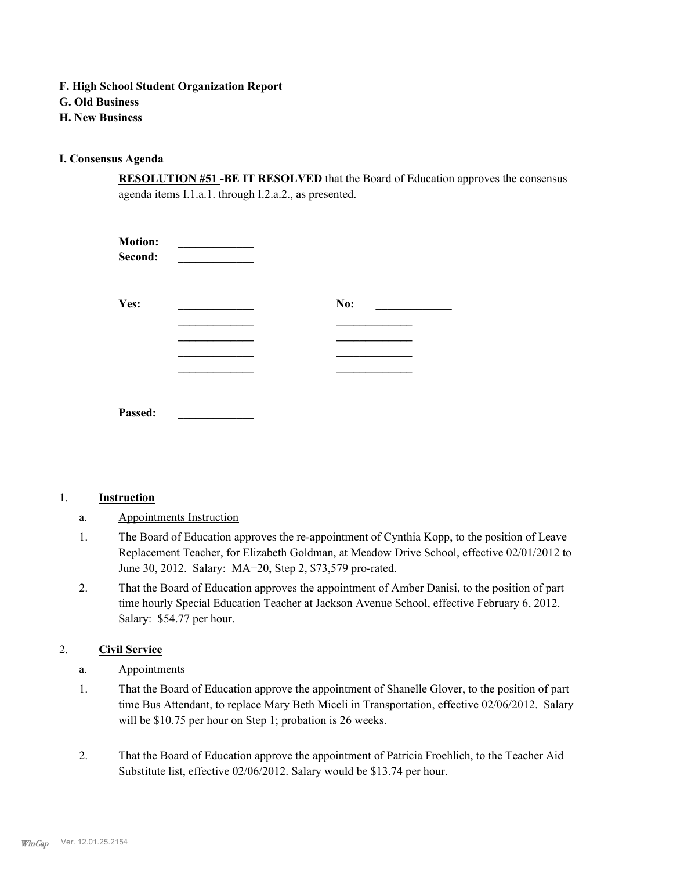- **F. High School Student Organization Report**
- **G. Old Business**
- **H. New Business**

#### **I. Consensus Agenda**

**RESOLUTION #51 -BE IT RESOLVED** that the Board of Education approves the consensus agenda items I.1.a.1. through I.2.a.2., as presented.

| <b>Motion:</b><br>Second: |     |  |
|---------------------------|-----|--|
| Yes:                      | No: |  |
|                           |     |  |
|                           |     |  |
|                           |     |  |
| Passed:                   |     |  |

#### 1. **Instruction**

- The Board of Education approves the re-appointment of Cynthia Kopp, to the position of Leave Replacement Teacher, for Elizabeth Goldman, at Meadow Drive School, effective 02/01/2012 to June 30, 2012. Salary: MA+20, Step 2, \$73,579 pro-rated. 1.
- That the Board of Education approves the appointment of Amber Danisi, to the position of part time hourly Special Education Teacher at Jackson Avenue School, effective February 6, 2012. Salary: \$54.77 per hour. 2.

#### 2. **Civil Service**

- a. Appointments
- That the Board of Education approve the appointment of Shanelle Glover, to the position of part time Bus Attendant, to replace Mary Beth Miceli in Transportation, effective 02/06/2012. Salary will be \$10.75 per hour on Step 1; probation is 26 weeks. 1.
- That the Board of Education approve the appointment of Patricia Froehlich, to the Teacher Aid Substitute list, effective 02/06/2012. Salary would be \$13.74 per hour. 2.

a. Appointments Instruction